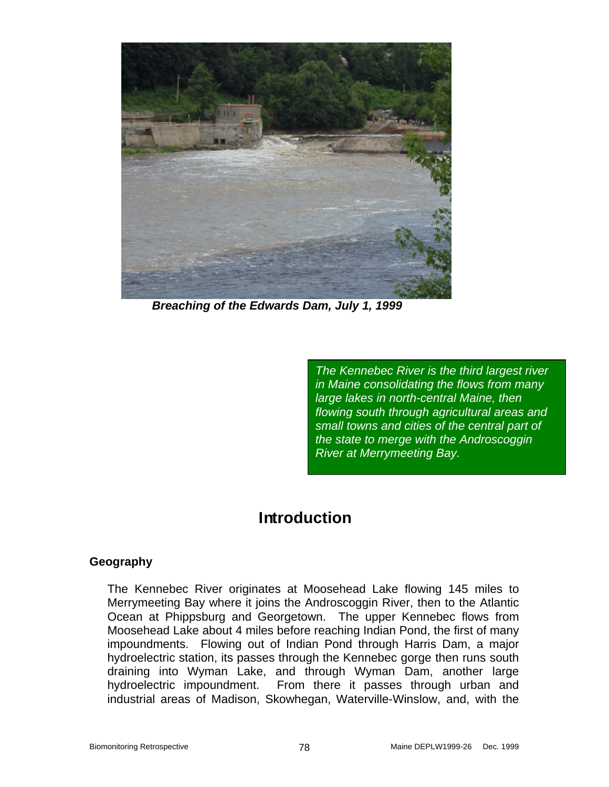

 *Breaching of the Edwards Dam, July 1, 1999*

*The Kennebec River is the third largest river in Maine consolidating the flows from many large lakes in north-central Maine, then flowing south through agricultural areas and small towns and cities of the central part of the state to merge with the Androscoggin River at Merrymeeting Bay.*

# **Introduction**

### **Geography**

The Kennebec River originates at Moosehead Lake flowing 145 miles to Merrymeeting Bay where it joins the Androscoggin River, then to the Atlantic Ocean at Phippsburg and Georgetown. The upper Kennebec flows from Moosehead Lake about 4 miles before reaching Indian Pond, the first of many impoundments. Flowing out of Indian Pond through Harris Dam, a major hydroelectric station, its passes through the Kennebec gorge then runs south draining into Wyman Lake, and through Wyman Dam, another large hydroelectric impoundment. From there it passes through urban and industrial areas of Madison, Skowhegan, Waterville-Winslow, and, with the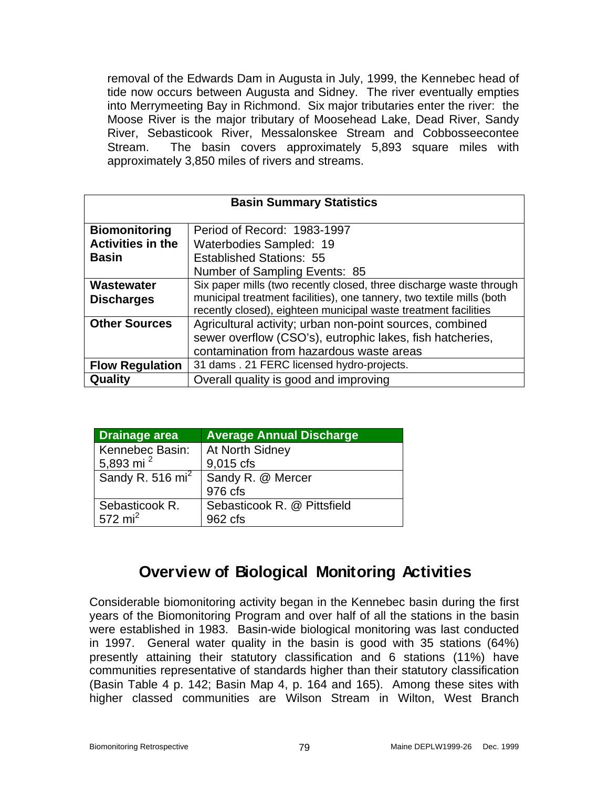removal of the Edwards Dam in Augusta in July, 1999, the Kennebec head of tide now occurs between Augusta and Sidney. The river eventually empties into Merrymeeting Bay in Richmond. Six major tributaries enter the river: the Moose River is the major tributary of Moosehead Lake, Dead River, Sandy River, Sebasticook River, Messalonskee Stream and Cobbosseecontee Stream. The basin covers approximately 5,893 square miles with approximately 3,850 miles of rivers and streams.

| <b>Basin Summary Statistics</b> |                                                                       |  |
|---------------------------------|-----------------------------------------------------------------------|--|
| <b>Biomonitoring</b>            | Period of Record: 1983-1997                                           |  |
| <b>Activities in the</b>        | Waterbodies Sampled: 19                                               |  |
| <b>Basin</b>                    | <b>Established Stations: 55</b>                                       |  |
|                                 | Number of Sampling Events: 85                                         |  |
| Wastewater                      | Six paper mills (two recently closed, three discharge waste through   |  |
| <b>Discharges</b>               | municipal treatment facilities), one tannery, two textile mills (both |  |
|                                 | recently closed), eighteen municipal waste treatment facilities       |  |
| <b>Other Sources</b>            | Agricultural activity; urban non-point sources, combined              |  |
|                                 | sewer overflow (CSO's), eutrophic lakes, fish hatcheries,             |  |
|                                 | contamination from hazardous waste areas                              |  |
| <b>Flow Regulation</b>          | 31 dams . 21 FERC licensed hydro-projects.                            |  |
| Quality                         | Overall quality is good and improving                                 |  |

| <b>Drainage area</b>         | <b>Average Annual Discharge</b> |
|------------------------------|---------------------------------|
| Kennebec Basin:              | At North Sidney                 |
| 5,893 mi <sup>2</sup>        | 9,015 cfs                       |
| Sandy R. 516 mi <sup>2</sup> | Sandy R. @ Mercer               |
|                              | 976 cfs                         |
| Sebasticook R.               | Sebasticook R. @ Pittsfield     |
| $572$ mi <sup>2</sup>        | 962 cfs                         |

# **Overview of Biological Monitoring Activities**

Considerable biomonitoring activity began in the Kennebec basin during the first years of the Biomonitoring Program and over half of all the stations in the basin were established in 1983. Basin-wide biological monitoring was last conducted in 1997. General water quality in the basin is good with 35 stations (64%) presently attaining their statutory classification and 6 stations (11%) have communities representative of standards higher than their statutory classification (Basin Table 4 p. 142; Basin Map 4, p. 164 and 165). Among these sites with higher classed communities are Wilson Stream in Wilton, West Branch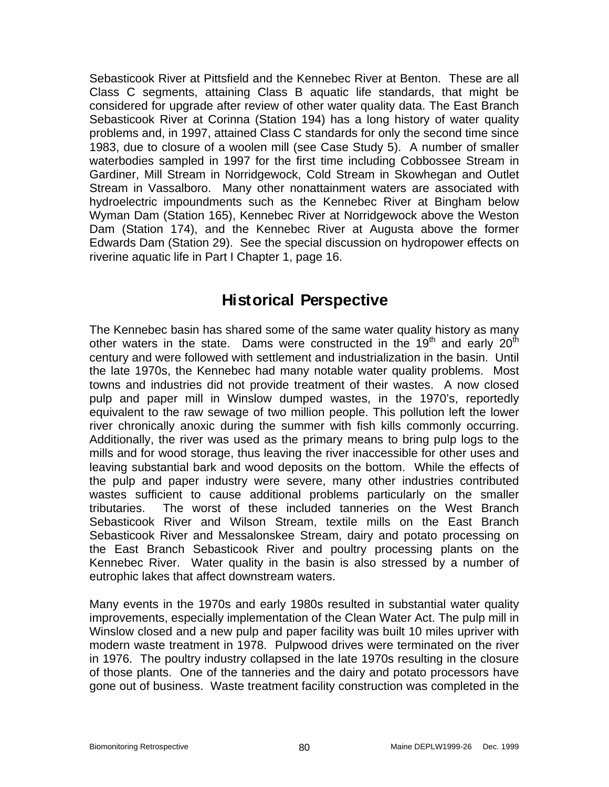Sebasticook River at Pittsfield and the Kennebec River at Benton. These are all Class C segments, attaining Class B aquatic life standards, that might be considered for upgrade after review of other water quality data. The East Branch Sebasticook River at Corinna (Station 194) has a long history of water quality problems and, in 1997, attained Class C standards for only the second time since 1983, due to closure of a woolen mill (see Case Study 5). A number of smaller waterbodies sampled in 1997 for the first time including Cobbossee Stream in Gardiner, Mill Stream in Norridgewock, Cold Stream in Skowhegan and Outlet Stream in Vassalboro. Many other nonattainment waters are associated with hydroelectric impoundments such as the Kennebec River at Bingham below Wyman Dam (Station 165), Kennebec River at Norridgewock above the Weston Dam (Station 174), and the Kennebec River at Augusta above the former Edwards Dam (Station 29). See the special discussion on hydropower effects on riverine aquatic life in Part I Chapter 1, page 16.

# **Historical Perspective**

The Kennebec basin has shared some of the same water quality history as many other waters in the state. Dams were constructed in the  $19<sup>th</sup>$  and early  $20<sup>th</sup>$ century and were followed with settlement and industrialization in the basin. Until the late 1970s, the Kennebec had many notable water quality problems. Most towns and industries did not provide treatment of their wastes. A now closed pulp and paper mill in Winslow dumped wastes, in the 1970's, reportedly equivalent to the raw sewage of two million people. This pollution left the lower river chronically anoxic during the summer with fish kills commonly occurring. Additionally, the river was used as the primary means to bring pulp logs to the mills and for wood storage, thus leaving the river inaccessible for other uses and leaving substantial bark and wood deposits on the bottom. While the effects of the pulp and paper industry were severe, many other industries contributed wastes sufficient to cause additional problems particularly on the smaller tributaries. The worst of these included tanneries on the West Branch Sebasticook River and Wilson Stream, textile mills on the East Branch Sebasticook River and Messalonskee Stream, dairy and potato processing on the East Branch Sebasticook River and poultry processing plants on the Kennebec River. Water quality in the basin is also stressed by a number of eutrophic lakes that affect downstream waters.

Many events in the 1970s and early 1980s resulted in substantial water quality improvements, especially implementation of the Clean Water Act. The pulp mill in Winslow closed and a new pulp and paper facility was built 10 miles upriver with modern waste treatment in 1978. Pulpwood drives were terminated on the river in 1976. The poultry industry collapsed in the late 1970s resulting in the closure of those plants. One of the tanneries and the dairy and potato processors have gone out of business. Waste treatment facility construction was completed in the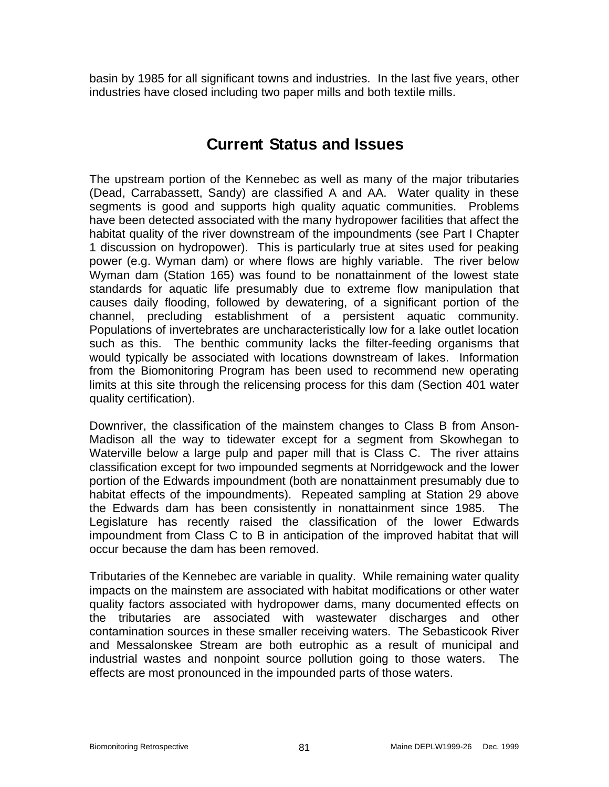basin by 1985 for all significant towns and industries. In the last five years, other industries have closed including two paper mills and both textile mills.

# **Current Status and Issues**

The upstream portion of the Kennebec as well as many of the major tributaries (Dead, Carrabassett, Sandy) are classified A and AA. Water quality in these segments is good and supports high quality aquatic communities. Problems have been detected associated with the many hydropower facilities that affect the habitat quality of the river downstream of the impoundments (see Part I Chapter 1 discussion on hydropower). This is particularly true at sites used for peaking power (e.g. Wyman dam) or where flows are highly variable. The river below Wyman dam (Station 165) was found to be nonattainment of the lowest state standards for aquatic life presumably due to extreme flow manipulation that causes daily flooding, followed by dewatering, of a significant portion of the channel, precluding establishment of a persistent aquatic community. Populations of invertebrates are uncharacteristically low for a lake outlet location such as this. The benthic community lacks the filter-feeding organisms that would typically be associated with locations downstream of lakes. Information from the Biomonitoring Program has been used to recommend new operating limits at this site through the relicensing process for this dam (Section 401 water quality certification).

Downriver, the classification of the mainstem changes to Class B from Anson-Madison all the way to tidewater except for a segment from Skowhegan to Waterville below a large pulp and paper mill that is Class C. The river attains classification except for two impounded segments at Norridgewock and the lower portion of the Edwards impoundment (both are nonattainment presumably due to habitat effects of the impoundments). Repeated sampling at Station 29 above the Edwards dam has been consistently in nonattainment since 1985. The Legislature has recently raised the classification of the lower Edwards impoundment from Class C to B in anticipation of the improved habitat that will occur because the dam has been removed.

Tributaries of the Kennebec are variable in quality. While remaining water quality impacts on the mainstem are associated with habitat modifications or other water quality factors associated with hydropower dams, many documented effects on the tributaries are associated with wastewater discharges and other contamination sources in these smaller receiving waters. The Sebasticook River and Messalonskee Stream are both eutrophic as a result of municipal and industrial wastes and nonpoint source pollution going to those waters. The effects are most pronounced in the impounded parts of those waters.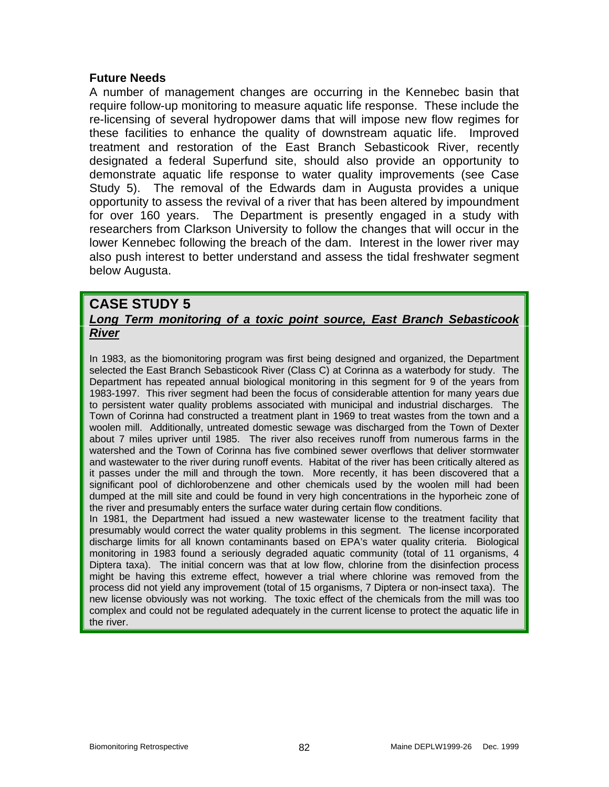### **Future Needs**

A number of management changes are occurring in the Kennebec basin that require follow-up monitoring to measure aquatic life response. These include the re-licensing of several hydropower dams that will impose new flow regimes for these facilities to enhance the quality of downstream aquatic life. Improved treatment and restoration of the East Branch Sebasticook River, recently designated a federal Superfund site, should also provide an opportunity to demonstrate aquatic life response to water quality improvements (see Case Study 5). The removal of the Edwards dam in Augusta provides a unique opportunity to assess the revival of a river that has been altered by impoundment for over 160 years. The Department is presently engaged in a study with researchers from Clarkson University to follow the changes that will occur in the lower Kennebec following the breach of the dam. Interest in the lower river may also push interest to better understand and assess the tidal freshwater segment below Augusta.

### **CASE STUDY 5** *Long Term monitoring of a toxic point source, East Branch Sebasticook River*

In 1983, as the biomonitoring program was first being designed and organized, the Department selected the East Branch Sebasticook River (Class C) at Corinna as a waterbody for study. The Department has repeated annual biological monitoring in this segment for 9 of the years from 1983-1997. This river segment had been the focus of considerable attention for many years due to persistent water quality problems associated with municipal and industrial discharges. The Town of Corinna had constructed a treatment plant in 1969 to treat wastes from the town and a woolen mill. Additionally, untreated domestic sewage was discharged from the Town of Dexter about 7 miles upriver until 1985. The river also receives runoff from numerous farms in the watershed and the Town of Corinna has five combined sewer overflows that deliver stormwater and wastewater to the river during runoff events. Habitat of the river has been critically altered as it passes under the mill and through the town. More recently, it has been discovered that a significant pool of dichlorobenzene and other chemicals used by the woolen mill had been dumped at the mill site and could be found in very high concentrations in the hyporheic zone of the river and presumably enters the surface water during certain flow conditions.

In 1981, the Department had issued a new wastewater license to the treatment facility that presumably would correct the water quality problems in this segment. The license incorporated discharge limits for all known contaminants based on EPA's water quality criteria. Biological monitoring in 1983 found a seriously degraded aquatic community (total of 11 organisms, 4 Diptera taxa). The initial concern was that at low flow, chlorine from the disinfection process might be having this extreme effect, however a trial where chlorine was removed from the process did not yield any improvement (total of 15 organisms, 7 Diptera or non-insect taxa). The new license obviously was not working. The toxic effect of the chemicals from the mill was too complex and could not be regulated adequately in the current license to protect the aquatic life in the river.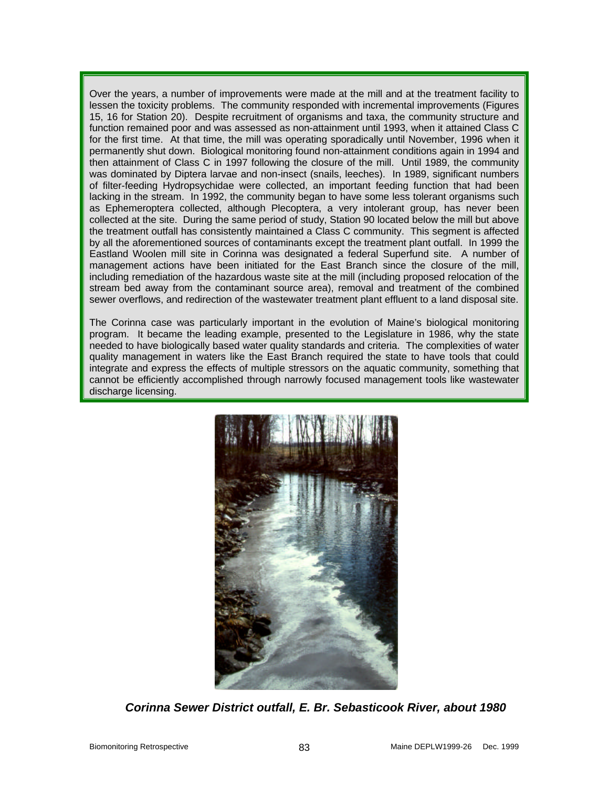Over the years, a number of improvements were made at the mill and at the treatment facility to lessen the toxicity problems. The community responded with incremental improvements (Figures 15, 16 for Station 20). Despite recruitment of organisms and taxa, the community structure and function remained poor and was assessed as non-attainment until 1993, when it attained Class C for the first time. At that time, the mill was operating sporadically until November, 1996 when it permanently shut down. Biological monitoring found non-attainment conditions again in 1994 and then attainment of Class C in 1997 following the closure of the mill. Until 1989, the community was dominated by Diptera larvae and non-insect (snails, leeches). In 1989, significant numbers of filter-feeding Hydropsychidae were collected, an important feeding function that had been lacking in the stream. In 1992, the community began to have some less tolerant organisms such as Ephemeroptera collected, although Plecoptera, a very intolerant group, has never been collected at the site. During the same period of study, Station 90 located below the mill but above the treatment outfall has consistently maintained a Class C community. This segment is affected by all the aforementioned sources of contaminants except the treatment plant outfall. In 1999 the Eastland Woolen mill site in Corinna was designated a federal Superfund site. A number of management actions have been initiated for the East Branch since the closure of the mill, including remediation of the hazardous waste site at the mill (including proposed relocation of the stream bed away from the contaminant source area), removal and treatment of the combined sewer overflows, and redirection of the wastewater treatment plant effluent to a land disposal site.

The Corinna case was particularly important in the evolution of Maine's biological monitoring program. It became the leading example, presented to the Legislature in 1986, why the state needed to have biologically based water quality standards and criteria. The complexities of water quality management in waters like the East Branch required the state to have tools that could integrate and express the effects of multiple stressors on the aquatic community, something that cannot be efficiently accomplished through narrowly focused management tools like wastewater discharge licensing.



*Corinna Sewer District outfall, E. Br. Sebasticook River, about 1980*